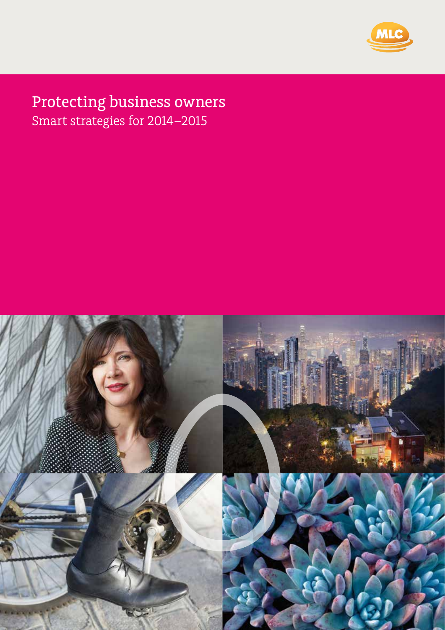

# Protecting business owners Smart strategies for 2014–2015



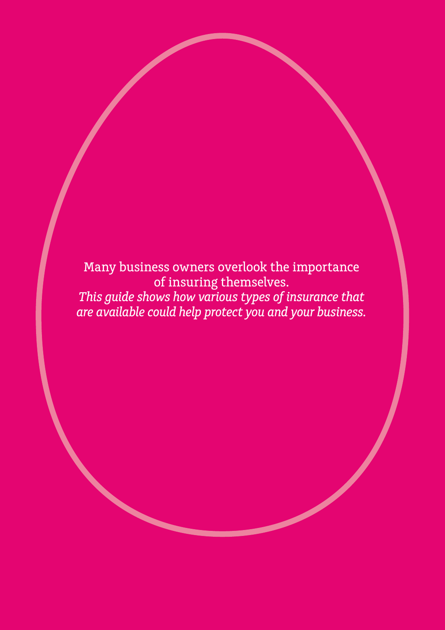Many business owners overlook the importance of insuring themselves. *This guide shows how various types of insurance that are available could help protect you and your business.*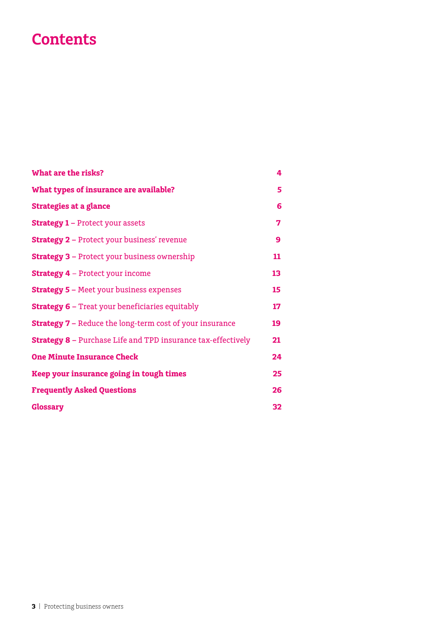## **Contents**

| What are the risks?                                                 | 4  |
|---------------------------------------------------------------------|----|
| What types of insurance are available?                              | 5  |
| <b>Strategies at a glance</b>                                       | 6  |
| <b>Strategy 1 - Protect your assets</b>                             | 7  |
| <b>Strategy 2 - Protect your business' revenue</b>                  | 9  |
| <b>Strategy 3 - Protect your business ownership</b>                 | 11 |
| <b>Strategy 4</b> – Protect your income                             | 13 |
| <b>Strategy 5 - Meet your business expenses</b>                     | 15 |
| <b>Strategy 6 - Treat your beneficiaries equitably</b>              | 17 |
| <b>Strategy 7 - Reduce the long-term cost of your insurance</b>     | 19 |
| <b>Strategy 8 - Purchase Life and TPD insurance tax-effectively</b> | 21 |
| <b>One Minute Insurance Check</b>                                   | 24 |
| Keep your insurance going in tough times                            | 25 |
| <b>Frequently Asked Questions</b>                                   | 26 |
| <b>Glossary</b>                                                     | 32 |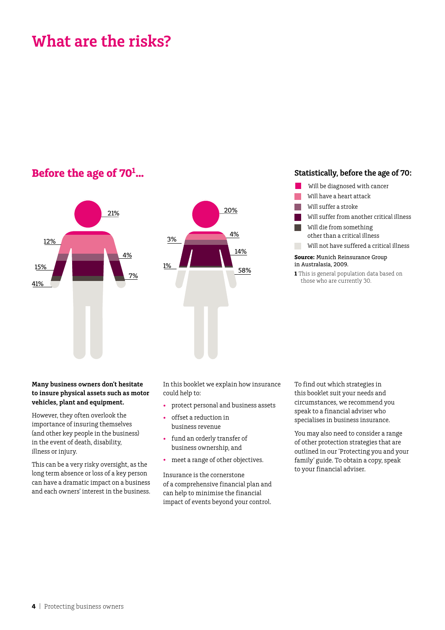## **What are the risks?**

### **Before the age of 701**



#### **… Statistically, before the age of 70:**

- Will be diagnosed with cancer
- Will have a heart attack
- Will suffer a stroke
- Will suffer from another critical illness
- Will die from something other than a critical illness
- Will not have suffered a critical illness

#### **Source:** Munich Reinsurance Group in Australasia, 2009.

**1** This is general population data based on those who are currently 30.

#### **Many business owners don't hesitate to insure physical assets such as motor vehicles, plant and equipment.**

However, they often overlook the importance of insuring themselves (and other key people in the business) in the event of death, disability, illness or injury.

This can be a very risky oversight, as the long term absence or loss of a key person can have a dramatic impact on a business and each owners' interest in the business.

In this booklet we explain how insurance could help to:

- • protect personal and business assets
- • offset a reduction in business revenue
- • fund an orderly transfer of business ownership, and
- meet a range of other objectives.

Insurance is the cornerstone of a comprehensive financial plan and can help to minimise the financial impact of events beyond your control.

To find out which strategies in this booklet suit your needs and circumstances, we recommend you speak to a financial adviser who specialises in business insurance.

You may also need to consider a range of other protection strategies that are outlined in our 'Protecting you and your family' guide. To obtain a copy, speak to your financial adviser.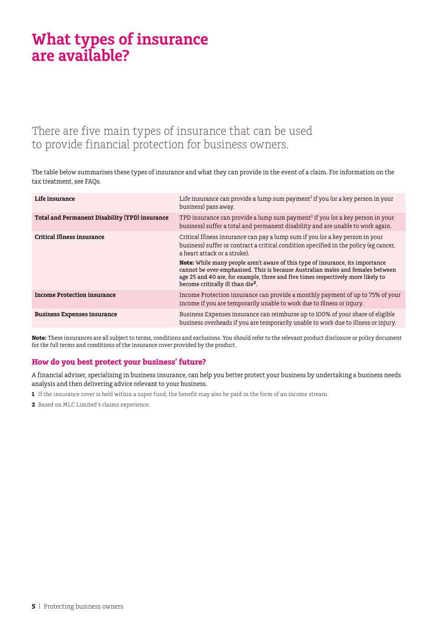## **What types of insurance are available?**

### There are five main types of insurance that can be used to provide financial protection for business owners.

The table below summarises these types of insurance and what they can provide in the event of a claim. For information on the tax treatment, see FAQs.

| Life insurance                                 | Life insurance can provide a lump sum payment <sup>1</sup> if you (or a key person in your<br>business) pass away.                                                                                                                                                                                            |
|------------------------------------------------|---------------------------------------------------------------------------------------------------------------------------------------------------------------------------------------------------------------------------------------------------------------------------------------------------------------|
| Total and Permanent Disability (TPD) insurance | TPD insurance can provide a lump sum payment <sup>1</sup> if you (or a key person in your<br>business) suffer a total and permanent disability and are unable to work again.                                                                                                                                  |
| Critical Illness insurance                     | Critical Illness insurance can pay a lump sum if you (or a key person in your<br>business) suffer or contract a critical condition specified in the policy (eg cancer,<br>a heart attack or a stroke).                                                                                                        |
|                                                | <b>Note:</b> While many people aren't aware of this type of insurance, its importance<br>cannot be over-emphasised. This is because Australian males and females between<br>age 25 and 40 are, for example, three and five times respectively more likely to<br>become critically ill than die <sup>2</sup> . |
| <b>Income Protection insurance</b>             | Income Protection insurance can provide a monthly payment of up to 75% of your<br>income if you are temporarily unable to work due to illness or injury.                                                                                                                                                      |
| <b>Business Expenses insurance</b>             | Business Expenses insurance can reimburse up to 100% of your share of eligible<br>business overheads if you are temporarily unable to work due to illness or injury.                                                                                                                                          |

**Note:** These insurances are all subject to terms, conditions and exclusions. You should refer to the relevant product disclosure or policy document for the full terms and conditions of the insurance cover provided by the product.

#### **How do you best protect your business' future?**

A financial adviser, specialising in business insurance, can help you better protect your business by undertaking a business needs analysis and then delivering advice relevant to your business.

- **1** If the insurance cover is held within a super fund, the benefit may also be paid in the form of an income stream.
- **2** Based on MLC Limited's claims experience.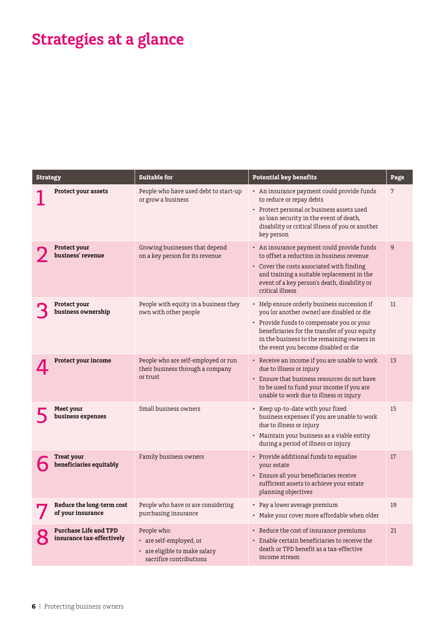# **Strategies at a glance**

| <b>Strategy</b> |                                                           | <b>Suitable for</b>                                                                                | <b>Potential key benefits</b>                                                                                                                                                                                                                                                  | Page |
|-----------------|-----------------------------------------------------------|----------------------------------------------------------------------------------------------------|--------------------------------------------------------------------------------------------------------------------------------------------------------------------------------------------------------------------------------------------------------------------------------|------|
|                 | Protect your assets                                       | People who have used debt to start-up<br>or grow a business                                        | • An insurance payment could provide funds<br>to reduce or repay debts<br>• Protect personal or business assets used<br>as loan security in the event of death,<br>disability or critical illness of you or another<br>key person                                              | 7    |
|                 | Protect your<br>business' revenue                         | Growing businesses that depend<br>on a key person for its revenue                                  | • An insurance payment could provide funds<br>to offset a reduction in business revenue<br>• Cover the costs associated with finding<br>and training a suitable replacement in the<br>event of a key person's death, disability or<br>critical illness                         | 9    |
|                 | Protect your<br>business ownership                        | People with equity in a business they<br>own with other people                                     | • Help ensure orderly business succession if<br>you (or another owner) are disabled or die<br>• Provide funds to compensate you or your<br>beneficiaries for the transfer of your equity<br>in the business to the remaining owners in<br>the event you become disabled or die | 11   |
|                 | Protect your income                                       | People who are self-employed or run<br>their business through a company<br>or trust                | • Receive an income if you are unable to work<br>due to illness or injury<br>• Ensure that business resources do not have<br>to be used to fund your income if you are<br>unable to work due to illness or injury                                                              | 13   |
|                 | Meet your<br>business expenses                            | Small business owners                                                                              | • Keep up-to-date with your fixed<br>business expenses if you are unable to work<br>due to illness or injury<br>• Maintain your business as a viable entity<br>during a period of illness or injury                                                                            | 15   |
|                 | Treat your<br>beneficiaries equitably                     | Family business owners                                                                             | • Provide additional funds to equalise<br>your estate<br>• Ensure all your beneficiaries receive<br>sufficient assets to achieve your estate<br>planning objectives                                                                                                            | 17   |
|                 | of your insurance                                         | Reduce the long-term cost People who have or are considering<br>purchasing insurance               | Pay a lower average premium<br>• Make your cover more affordable when older                                                                                                                                                                                                    | 19   |
|                 | <b>Purchase Life and TPD</b><br>insurance tax-effectively | People who:<br>• are self-employed, or<br>• are eligible to make salary<br>sacrifice contributions | • Reduce the cost of insurance premiums<br>• Enable certain beneficiaries to receive the<br>death or TPD benefit as a tax-effective<br>income stream                                                                                                                           | 21   |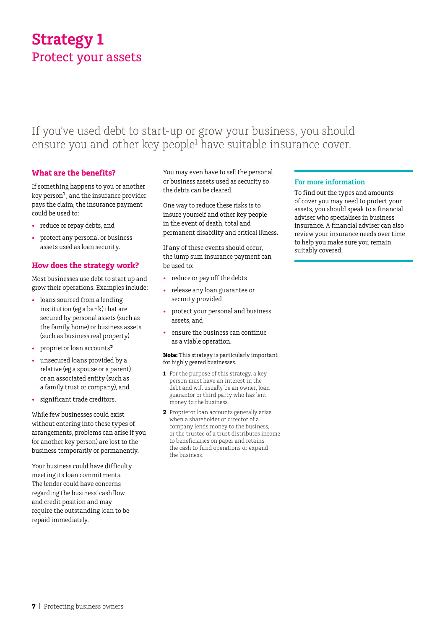## **Strategy 1** Protect your assets

### If you've used debt to start-up or grow your business, you should ensure you and other key people<sup>1</sup> have suitable insurance cover.

#### **What are the benefits?**

If something happens to you or another key person**<sup>1</sup>**, and the insurance provider pays the claim, the insurance payment could be used to:

- • reduce or repay debts, and
- protect any personal or business assets used as loan security.

#### **How does the strategy work?**

Most businesses use debt to start up and grow their operations. Examples include:

- loans sourced from a lending institution (eg a bank) that are secured by personal assets (such as the family home) or business assets (such as business real property)
- • proprietor loan accounts**<sup>2</sup>**
- unsecured loans provided by a relative (eg a spouse or a parent) or an associated entity (such as a family trust or company), and
- significant trade creditors.

While few businesses could exist without entering into these types of arrangements, problems can arise if you (or another key person) are lost to the business temporarily or permanently.

Your business could have difficulty meeting its loan commitments. The lender could have concerns regarding the business' cashflow and credit position and may require the outstanding loan to be repaid immediately.

You may even have to sell the personal or business assets used as security so the debts can be cleared.

One way to reduce these risks is to insure yourself and other key people in the event of death, total and permanent disability and critical illness.

If any of these events should occur, the lump sum insurance payment can be used to:

- reduce or pay off the debts
- • release any loan guarantee or security provided
- protect your personal and business assets, and
- • ensure the business can continue as a viable operation.

#### **Note:** This strategy is particularly important for highly geared businesses.

- **1** For the purpose of this strategy, a key person must have an interest in the debt and will usually be an owner, loan guarantor or third party who has lent money to the business.
- **2** Proprietor loan accounts generally arise when a shareholder or director of a company lends money to the business, or the trustee of a trust distributes income to beneficiaries on paper and retains the cash to fund operations or expand the business.

#### **For more information**

To find out the types and amounts of cover you may need to protect your assets, you should speak to a financial adviser who specialises in business insurance. A financial adviser can also review your insurance needs over time to help you make sure you remain suitably covered.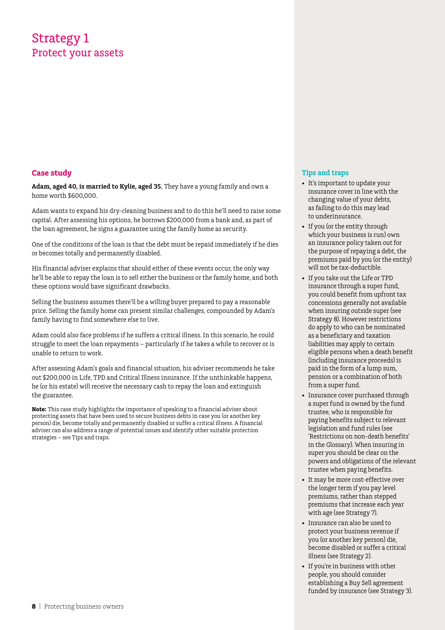### Strategy 1 Protect your assets

#### **Case study**

**Adam, aged 40, is married to Kylie, aged 35.** They have a young family and own a home worth \$600,000.

Adam wants to expand his dry-cleaning business and to do this he'll need to raise some capital. After assessing his options, he borrows \$200,000 from a bank and, as part of the loan agreement, he signs a guarantee using the family home as security.

One of the conditions of the loan is that the debt must be repaid immediately if he dies or becomes totally and permanently disabled.

His financial adviser explains that should either of these events occur, the only way he'll be able to repay the loan is to sell either the business or the family home, and both these options would have significant drawbacks.

Selling the business assumes there'll be a willing buyer prepared to pay a reasonable price. Selling the family home can present similar challenges, compounded by Adam's family having to find somewhere else to live.

Adam could also face problems if he suffers a critical illness. In this scenario, he could struggle to meet the loan repayments – particularly if he takes a while to recover or is unable to return to work.

After assessing Adam's goals and financial situation, his adviser recommends he take out \$200,000 in Life, TPD and Critical Illness insurance. If the unthinkable happens, he (or his estate) will receive the necessary cash to repay the loan and extinguish the guarantee.

**Note:** This case study highlights the importance of speaking to a financial adviser about protecting assets that have been used to secure business debts in case you (or another key person) die, become totally and permanently disabled or suffer a critical illness. A financial adviser can also address a range of potential issues and identify other suitable protection strategies – see Tips and traps.

- • It's important to update your insurance cover in line with the changing value of your debts, as failing to do this may lead to underinsurance.
- If you (or the entity through which your business is run) own an insurance policy taken out for the purpose of repaying a debt, the premiums paid by you (or the entity) will not be tax-deductible.
- If you take out the Life or TPD insurance through a super fund, you could benefit from upfront tax concessions generally not available when insuring outside super (see Strategy 8). However restrictions do apply to who can be nominated as a beneficiary and taxation liabilities may apply to certain eligible persons when a death benefit (including insurance proceeds) is paid in the form of a lump sum, pension or a combination of both from a super fund.
- Insurance cover purchased through a super fund is owned by the fund trustee, who is responsible for paying benefits subject to relevant legislation and fund rules (see 'Restrictions on non-death benefits' in the Glossary). When insuring in super you should be clear on the powers and obligations of the relevant trustee when paying benefits.
- It may be more cost-effective over the longer term if you pay level premiums, rather than stepped premiums that increase each year with age (see Strategy 7).
- • Insurance can also be used to protect your business revenue if you (or another key person) die, become disabled or suffer a critical illness (see Strategy 2).
- If you're in business with other people, you should consider establishing a Buy Sell agreement funded by insurance (see Strategy 3).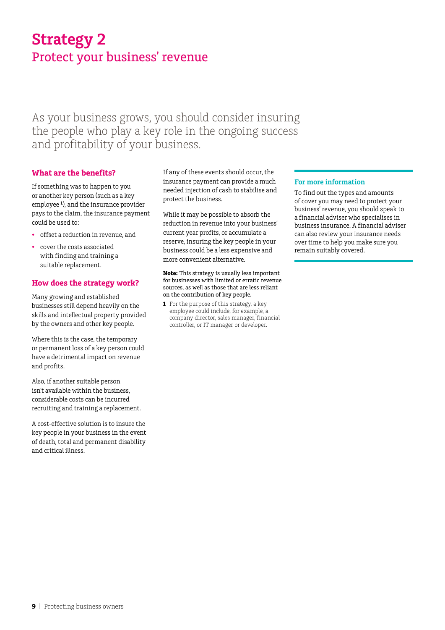## **Strategy 2** Protect your business' revenue

As your business grows, you should consider insuring the people who play a key role in the ongoing success and profitability of your business.

#### **What are the benefits?**

If something was to happen to you or another key person (such as a key employee **<sup>1</sup>**), and the insurance provider pays to the claim, the insurance payment could be used to:

- offset a reduction in revenue, and
- cover the costs associated with finding and training a suitable replacement.

#### **How does the strategy work?**

Many growing and established businesses still depend heavily on the skills and intellectual property provided by the owners and other key people.

Where this is the case, the temporary or permanent loss of a key person could have a detrimental impact on revenue and profits.

Also, if another suitable person isn't available within the business, considerable costs can be incurred recruiting and training a replacement.

A cost-effective solution is to insure the key people in your business in the event of death, total and permanent disability and critical illness.

If any of these events should occur, the insurance payment can provide a much needed injection of cash to stabilise and protect the business.

While it may be possible to absorb the reduction in revenue into your business' current year profits, or accumulate a reserve, insuring the key people in your business could be a less expensive and more convenient alternative.

**Note:** This strategy is usually less important for businesses with limited or erratic revenue sources, as well as those that are less reliant on the contribution of key people.

**1** For the purpose of this strategy, a key employee could include, for example, a company director, sales manager, financial controller, or IT manager or developer.

#### **For more information**

To find out the types and amounts of cover you may need to protect your business' revenue, you should speak to a financial adviser who specialises in business insurance. A financial adviser can also review your insurance needs over time to help you make sure you remain suitably covered.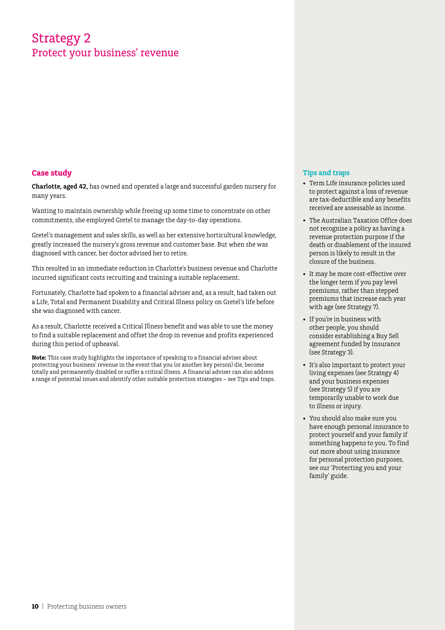### Strategy 2 Protect your business' revenue

#### **Case study**

**Charlotte, aged 42,** has owned and operated a large and successful garden nursery for many years.

Wanting to maintain ownership while freeing up some time to concentrate on other commitments, she employed Gretel to manage the day-to-day operations.

Gretel's management and sales skills, as well as her extensive horticultural knowledge, greatly increased the nursery's gross revenue and customer base. But when she was diagnosed with cancer, her doctor advised her to retire.

This resulted in an immediate reduction in Charlotte's business revenue and Charlotte incurred significant costs recruiting and training a suitable replacement.

Fortunately, Charlotte had spoken to a financial adviser and, as a result, had taken out a Life, Total and Permanent Disability and Critical Illness policy on Gretel's life before she was diagnosed with cancer.

As a result, Charlotte received a Critical Illness benefit and was able to use the money to find a suitable replacement and offset the drop in revenue and profits experienced during this period of upheaval.

**Note:** This case study highlights the importance of speaking to a financial adviser about protecting your business' revenue in the event that you (or another key person) die, become totally and permanently disabled or suffer a critical illness. A financial adviser can also address a range of potential issues and identify other suitable protection strategies – see Tips and traps.

- • Term Life insurance policies used to protect against a loss of revenue are tax-deductible and any benefits received are assessable as income.
- The Australian Taxation Office does not recognise a policy as having a revenue protection purpose if the death or disablement of the insured person is likely to result in the closure of the business.
- It may be more cost-effective over the longer term if you pay level premiums, rather than stepped premiums that increase each year with age (see Strategy 7).
- • If you're in business with other people, you should consider establishing a Buy Sell agreement funded by insurance (see Strategy 3).
- It's also important to protect your living expenses (see Strategy 4) and your business expenses (see Strategy 5) if you are temporarily unable to work due to illness or injury.
- • You should also make sure you have enough personal insurance to protect yourself and your family if something happens to you. To find out more about using insurance for personal protection purposes, see our 'Protecting you and your family' guide.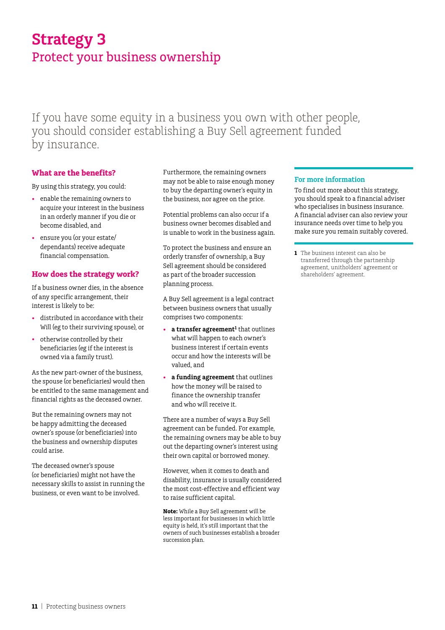## **Strategy 3** Protect your business ownership

If you have some equity in a business you own with other people, you should consider establishing a Buy Sell agreement funded by insurance.

#### **What are the benefits?**

By using this strategy, you could:

- • enable the remaining owners to acquire your interest in the business in an orderly manner if you die or become disabled, and
- ensure you (or your estate/ dependants) receive adequate financial compensation.

#### **How does the strategy work?**

If a business owner dies, in the absence of any specific arrangement, their interest is likely to be:

- distributed in accordance with their Will (eg to their surviving spouse), or
- • otherwise controlled by their beneficiaries (eg if the interest is owned via a family trust).

As the new part-owner of the business, the spouse (or beneficiaries) would then be entitled to the same management and financial rights as the deceased owner.

But the remaining owners may not be happy admitting the deceased owner's spouse (or beneficiaries) into the business and ownership disputes could arise.

The deceased owner's spouse (or beneficiaries) might not have the necessary skills to assist in running the business, or even want to be involved.

Furthermore, the remaining owners may not be able to raise enough money to buy the departing owner's equity in the business, nor agree on the price.

Potential problems can also occur if a business owner becomes disabled and is unable to work in the business again.

To protect the business and ensure an orderly transfer of ownership, a Buy Sell agreement should be considered as part of the broader succession planning process.

A Buy Sell agreement is a legal contract between business owners that usually comprises two components:

- **a transfer agreement<sup>1</sup> that outlines** what will happen to each owner's business interest if certain events occur and how the interests will be valued, and
- a funding agreement that outlines how the money will be raised to finance the ownership transfer and who will receive it.

There are a number of ways a Buy Sell agreement can be funded. For example, the remaining owners may be able to buy out the departing owner's interest using their own capital or borrowed money.

However, when it comes to death and disability, insurance is usually considered the most cost-effective and efficient way to raise sufficient capital.

**Note:** While a Buy Sell agreement will be less important for businesses in which little equity is held, it's still important that the owners of such businesses establish a broader succession plan.

#### **For more information**

To find out more about this strategy, you should speak to a financial adviser who specialises in business insurance. A financial adviser can also review your insurance needs over time to help you make sure you remain suitably covered.

**1** The business interest can also be transferred through the partnership agreement, unitholders' agreement or shareholders' agreement.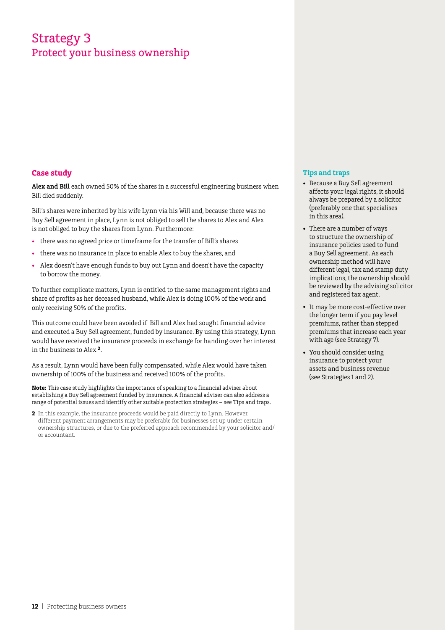### Strategy 3 Protect your business ownership

#### **Case study**

**Alex and Bill** each owned 50% of the shares in a successful engineering business when Bill died suddenly.

Bill's shares were inherited by his wife Lynn via his Will and, because there was no Buy Sell agreement in place, Lynn is not obliged to sell the shares to Alex and Alex is not obliged to buy the shares from Lynn. Furthermore:

- there was no agreed price or timeframe for the transfer of Bill's shares
- there was no insurance in place to enable Alex to buy the shares, and
- Alex doesn't have enough funds to buy out Lynn and doesn't have the capacity to borrow the money.

To further complicate matters, Lynn is entitled to the same management rights and share of profits as her deceased husband, while Alex is doing 100% of the work and only receiving 50% of the profits.

This outcome could have been avoided if Bill and Alex had sought financial advice and executed a Buy Sell agreement, funded by insurance. By using this strategy, Lynn would have received the insurance proceeds in exchange for handing over her interest in the business to Alex **2**.

As a result, Lynn would have been fully compensated, while Alex would have taken ownership of 100% of the business and received 100% of the profits.

**Note:** This case study highlights the importance of speaking to a financial adviser about establishing a Buy Sell agreement funded by insurance. A financial adviser can also address a range of potential issues and identify other suitable protection strategies – see Tips and traps.

**2** In this example, the insurance proceeds would be paid directly to Lynn. However, different payment arrangements may be preferable for businesses set up under certain ownership structures, or due to the preferred approach recommended by your solicitor and/ or accountant.

- • Because a Buy Sell agreement affects your legal rights, it should always be prepared by a solicitor (preferably one that specialises in this area).
- • There are a number of ways to structure the ownership of insurance policies used to fund a Buy Sell agreement. As each ownership method will have different legal, tax and stamp duty implications, the ownership should be reviewed by the advising solicitor and registered tax agent.
- It may be more cost-effective over the longer term if you pay level premiums, rather than stepped premiums that increase each year with age (see Strategy 7).
- You should consider using insurance to protect your assets and business revenue (see Strategies 1 and 2).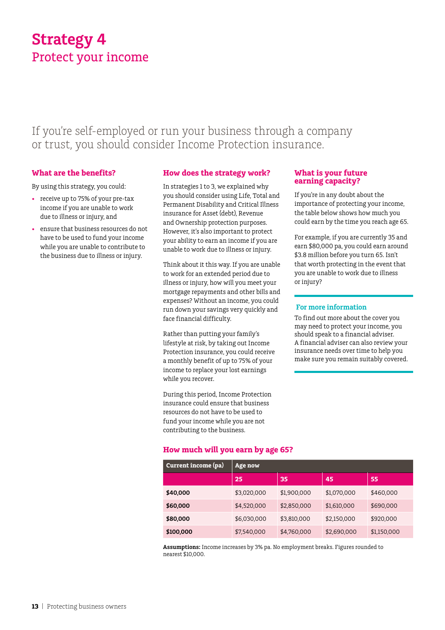## **Strategy 4** Protect your income

If you're self-employed or run your business through a company or trust, you should consider Income Protection insurance.

#### **What are the benefits?**

By using this strategy, you could:

- receive up to 75% of your pre-tax income if you are unable to work due to illness or injury, and
- ensure that business resources do not have to be used to fund your income while you are unable to contribute to the business due to illness or injury.

#### **How does the strategy work?**

In strategies 1 to 3, we explained why you should consider using Life, Total and Permanent Disability and Critical Illness insurance for Asset (debt), Revenue and Ownership protection purposes. However, it's also important to protect your ability to earn an income if you are unable to work due to illness or injury.

Think about it this way. If you are unable to work for an extended period due to illness or injury, how will you meet your mortgage repayments and other bills and expenses? Without an income, you could run down your savings very quickly and face financial difficulty.

Rather than putting your family's lifestyle at risk, by taking out Income Protection insurance, you could receive a monthly benefit of up to 75% of your income to replace your lost earnings while you recover.

During this period, Income Protection insurance could ensure that business resources do not have to be used to fund your income while you are not contributing to the business.

#### **How much will you earn by age 65?**

| Current income (pa) | <b>Age now</b> |             |             |             |
|---------------------|----------------|-------------|-------------|-------------|
|                     | 25             | 35          | 45          | 55          |
| \$40,000            | \$3,020,000    | \$1,900,000 | \$1,070,000 | \$460,000   |
| \$60,000            | \$4,520,000    | \$2,850,000 | \$1,610,000 | \$690,000   |
| \$80,000            | \$6,030,000    | \$3,810,000 | \$2,150,000 | \$920,000   |
| \$100,000           | \$7,540,000    | \$4,760,000 | \$2,690,000 | \$1,150,000 |

**Assumptions:** Income increases by 3% pa. No employment breaks. Figures rounded to nearest \$10,000.

#### **What is your future earning capacity?**

If you're in any doubt about the importance of protecting your income, the table below shows how much you could earn by the time you reach age 65.

For example, if you are currently 35 and earn \$80,000 pa, you could earn around \$3.8 million before you turn 65. Isn't that worth protecting in the event that you are unable to work due to illness or injury?

#### **For more information**

To find out more about the cover you may need to protect your income, you should speak to a financial adviser. A financial adviser can also review your insurance needs over time to help you make sure you remain suitably covered.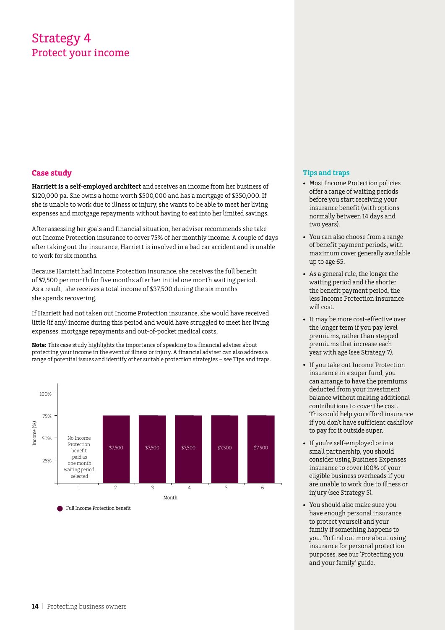### Strategy 4 Protect your income

#### **Case study**

**Harriett is a self-employed architect** and receives an income from her business of \$120,000 pa. She owns a home worth \$500,000 and has a mortgage of \$350,000. If she is unable to work due to illness or injury, she wants to be able to meet her living expenses and mortgage repayments without having to eat into her limited savings.

After assessing her goals and financial situation, her adviser recommends she take out Income Protection insurance to cover 75% of her monthly income. A couple of days after taking out the insurance, Harriett is involved in a bad car accident and is unable to work for six months.

Because Harriett had Income Protection insurance, she receives the full benefit of \$7,500 per month for five months after her initial one month waiting period. As a result, she receives a total income of \$37,500 during the six months she spends recovering.

If Harriett had not taken out Income Protection insurance, she would have received little (if any) income during this period and would have struggled to meet her living expenses, mortgage repayments and out-of-pocket medical costs.

**Note:** This case study highlights the importance of speaking to a financial adviser about protecting your income in the event of illness or injury. A financial adviser can also address a range of potential issues and identify other suitable protection strategies – see Tips and traps.



- Most Income Protection policies offer a range of waiting periods before you start receiving your insurance benefit (with options normally between 14 days and two years).
- You can also choose from a range of benefit payment periods, with maximum cover generally available up to age 65.
- • As a general rule, the longer the waiting period and the shorter the benefit payment period, the less Income Protection insurance will cost.
- It may be more cost-effective over the longer term if you pay level premiums, rather than stepped premiums that increase each year with age (see Strategy 7).
- If you take out Income Protection insurance in a super fund, you can arrange to have the premiums deducted from your investment balance without making additional contributions to cover the cost. This could help you afford insurance if you don't have sufficient cashflow to pay for it outside super.
- If you're self-employed or in a small partnership, you should consider using Business Expenses insurance to cover 100% of your eligible business overheads if you are unable to work due to illness or injury (see Strategy 5).
- • You should also make sure you have enough personal insurance to protect yourself and your family if something happens to you. To find out more about using insurance for personal protection purposes, see our 'Protecting you and your family' guide.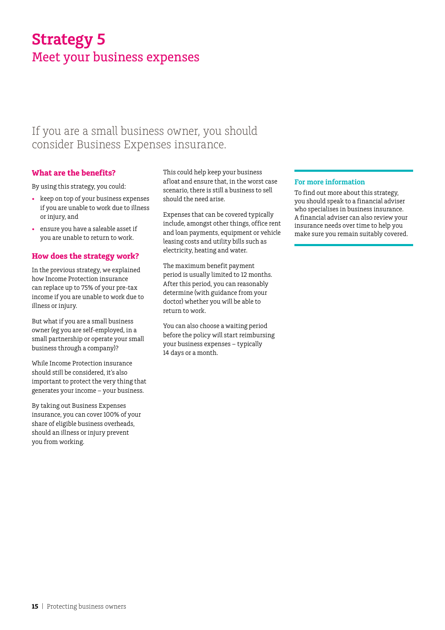## **Strategy 5** Meet your business expenses

### If you are a small business owner, you should consider Business Expenses insurance.

#### **What are the benefits?**

By using this strategy, you could:

- • keep on top of your business expenses if you are unable to work due to illness or injury, and
- ensure you have a saleable asset if you are unable to return to work.

#### **How does the strategy work?**

In the previous strategy, we explained how Income Protection insurance can replace up to 75% of your pre-tax income if you are unable to work due to illness or injury.

But what if you are a small business owner (eg you are self-employed, in a small partnership or operate your small business through a company)?

While Income Protection insurance should still be considered, it's also important to protect the very thing that generates your income – your business.

By taking out Business Expenses insurance, you can cover 100% of your share of eligible business overheads, should an illness or injury prevent you from working.

This could help keep your business afloat and ensure that, in the worst case scenario, there is still a business to sell should the need arise.

Expenses that can be covered typically include, amongst other things, office rent and loan payments, equipment or vehicle leasing costs and utility bills such as electricity, heating and water.

The maximum benefit payment period is usually limited to 12 months. After this period, you can reasonably determine (with guidance from your doctor) whether you will be able to return to work.

You can also choose a waiting period before the policy will start reimbursing your business expenses – typically 14 days or a month.

#### **For more information**

To find out more about this strategy, you should speak to a financial adviser who specialises in business insurance. A financial adviser can also review your insurance needs over time to help you make sure you remain suitably covered.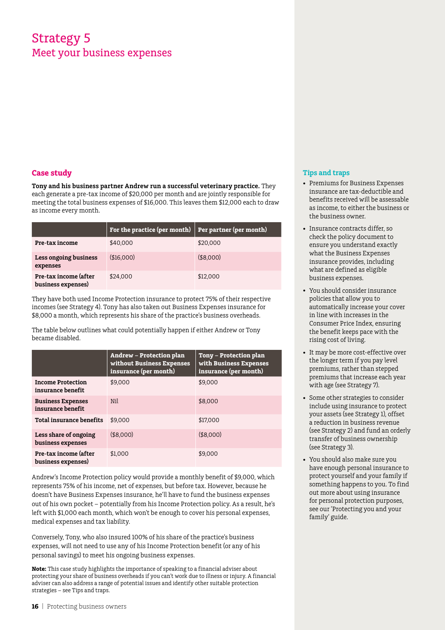### Strategy 5 Meet your business expenses

#### **Case study**

**Tony and his business partner Andrew run a successful veterinary practice.** They each generate a pre-tax income of \$20,000 per month and are jointly responsible for meeting the total business expenses of \$16,000. This leaves them \$12,000 each to draw as income every month.

|                                             | For the practice (per month) | Per partner (per month) |
|---------------------------------------------|------------------------------|-------------------------|
| Pre-tax income                              | \$40,000                     | \$20,000                |
| Less ongoing business<br>expenses           | \$16,000                     | (\$8,000)               |
| Pre-tax income (after<br>business expenses) | \$24,000                     | \$12,000                |

They have both used Income Protection insurance to protect 75% of their respective incomes (see Strategy 4). Tony has also taken out Business Expenses insurance for \$8,000 a month, which represents his share of the practice's business overheads.

The table below outlines what could potentially happen if either Andrew or Tony became disabled.

|                                               | Andrew – Protection plan<br>without Business Expenses<br>insurance (per month) | Tony – Protection plan<br>with Business Expenses<br>insurance (per month) |
|-----------------------------------------------|--------------------------------------------------------------------------------|---------------------------------------------------------------------------|
| <b>Income Protection</b><br>insurance benefit | \$9,000                                                                        | \$9,000                                                                   |
| <b>Business Expenses</b><br>insurance benefit | Nil                                                                            | \$8,000                                                                   |
| <b>Total insurance benefits</b>               | \$9,000                                                                        | \$17,000                                                                  |
| Less share of ongoing<br>business expenses    | ( \$8.000)                                                                     | ( \$8.000)                                                                |
| Pre-tax income (after<br>business expenses)   | \$1,000                                                                        | \$9,000                                                                   |

Andrew's Income Protection policy would provide a monthly benefit of \$9,000, which represents 75% of his income, net of expenses, but before tax. However, because he doesn't have Business Expenses insurance, he'll have to fund the business expenses out of his own pocket – potentially from his Income Protection policy. As a result, he's left with \$1,000 each month, which won't be enough to cover his personal expenses, medical expenses and tax liability.

Conversely, Tony, who also insured 100% of his share of the practice's business expenses, will not need to use any of his Income Protection benefit (or any of his personal savings) to meet his ongoing business expenses.

**Note:** This case study highlights the importance of speaking to a financial adviser about protecting your share of business overheads if you can't work due to illness or injury. A financial adviser can also address a range of potential issues and identify other suitable protection strategies – see Tips and traps.

- • Premiums for Business Expenses insurance are tax-deductible and benefits received will be assessable as income, to either the business or the business owner.
- • Insurance contracts differ, so check the policy document to ensure you understand exactly what the Business Expenses insurance provides, including what are defined as eligible business expenses.
- • You should consider insurance policies that allow you to automatically increase your cover in line with increases in the Consumer Price Index, ensuring the benefit keeps pace with the rising cost of living.
- It may be more cost-effective over the longer term if you pay level premiums, rather than stepped premiums that increase each year with age (see Strategy 7).
- Some other strategies to consider include using insurance to protect your assets (see Strategy 1), offset a reduction in business revenue (see Strategy 2) and fund an orderly transfer of business ownership (see Strategy 3).
- You should also make sure you have enough personal insurance to protect yourself and your family if something happens to you. To find out more about using insurance for personal protection purposes, see our 'Protecting you and your family' guide.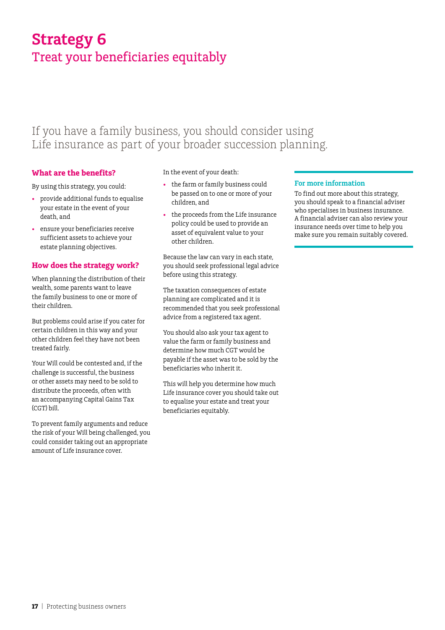## **Strategy 6** Treat your beneficiaries equitably

### If you have a family business, you should consider using Life insurance as part of your broader succession planning.

#### **What are the benefits?**

By using this strategy, you could:

- • provide additional funds to equalise your estate in the event of your death, and
- ensure your beneficiaries receive sufficient assets to achieve your estate planning objectives.

#### **How does the strategy work?**

When planning the distribution of their wealth, some parents want to leave the family business to one or more of their children.

But problems could arise if you cater for certain children in this way and your other children feel they have not been treated fairly.

Your Will could be contested and, if the challenge is successful, the business or other assets may need to be sold to distribute the proceeds, often with an accompanying Capital Gains Tax (CGT) bill.

To prevent family arguments and reduce the risk of your Will being challenged, you could consider taking out an appropriate amount of Life insurance cover.

In the event of your death:

- the farm or family business could be passed on to one or more of your children, and
- • the proceeds from the Life insurance policy could be used to provide an asset of equivalent value to your other children.

Because the law can vary in each state, you should seek professional legal advice before using this strategy.

The taxation consequences of estate planning are complicated and it is recommended that you seek professional advice from a registered tax agent.

You should also ask your tax agent to value the farm or family business and determine how much CGT would be payable if the asset was to be sold by the beneficiaries who inherit it.

This will help you determine how much Life insurance cover you should take out to equalise your estate and treat your beneficiaries equitably.

#### **For more information**

To find out more about this strategy, you should speak to a financial adviser who specialises in business insurance. A financial adviser can also review your insurance needs over time to help you make sure you remain suitably covered.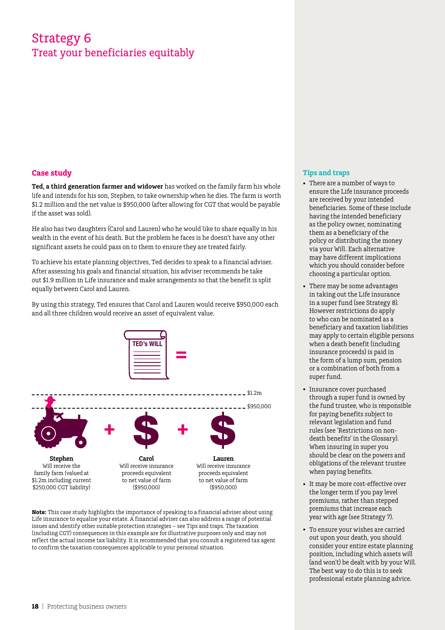### Strategy 6 Treat your beneficiaries equitably

#### **Case study**

**Ted, a third generation farmer and widower** has worked on the family farm his whole life and intends for his son, Stephen, to take ownership when he dies. The farm is worth \$1.2 million and the net value is \$950,000 (after allowing for CGT that would be payable if the asset was sold).

He also has two daughters (Carol and Lauren) who he would like to share equally in his wealth in the event of his death. But the problem he faces is he doesn't have any other significant assets he could pass on to them to ensure they are treated fairly.

To achieve his estate planning objectives, Ted decides to speak to a financial adviser. After assessing his goals and financial situation, his adviser recommends he take out \$1.9 million in Life insurance and make arrangements so that the benefit is split equally between Carol and Lauren.

By using this strategy, Ted ensures that Carol and Lauren would receive \$950,000 each and all three children would receive an asset of equivalent value.



**Note:** This case study highlights the importance of speaking to a financial adviser about using Life insurance to equalise your estate. A financial adviser can also address a range of potential issues and identify other suitable protection strategies – see Tips and traps. The taxation (including CGT) consequences in this example are for illustrative purposes only and may not reflect the actual income tax liability. It is recommended that you consult a registered tax agent to confirm the taxation consequences applicable to your personal situation.

- • There are a number of ways to ensure the Life insurance proceeds are received by your intended beneficiaries. Some of these include having the intended beneficiary as the policy owner, nominating them as a beneficiary of the policy or distributing the money via your Will. Each alternative may have different implications which you should consider before choosing a particular option.
- There may be some advantages in taking out the Life insurance in a super fund (see Strategy 8). However restrictions do apply to who can be nominated as a beneficiary and taxation liabilities may apply to certain eligible persons when a death benefit (including insurance proceeds) is paid in the form of a lump sum, pension or a combination of both from a super fund.
- • Insurance cover purchased through a super fund is owned by the fund trustee, who is responsible for paying benefits subject to relevant legislation and fund rules (see 'Restrictions on nondeath benefits' in the Glossary). When insuring in super you should be clear on the powers and obligations of the relevant trustee when paying benefits.
- It may be more cost-effective over the longer term if you pay level premiums, rather than stepped premiums that increase each year with age (see Strategy 7).
- • To ensure your wishes are carried out upon your death, you should consider your entire estate planning position, including which assets will (and won't) be dealt with by your Will. The best way to do this is to seek professional estate planning advice.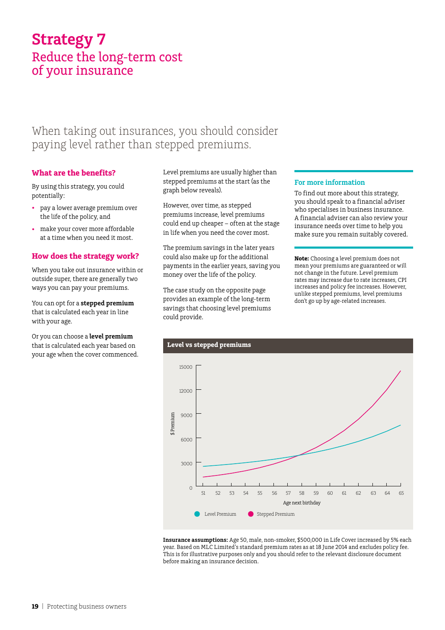### **Strategy 7** Reduce the long‑term cost of your insurance

### When taking out insurances, you should consider paying level rather than stepped premiums.

#### **What are the benefits?**

By using this strategy, you could potentially:

- • pay a lower average premium over the life of the policy, and
- make your cover more affordable at a time when you need it most.

#### **How does the strategy work?**

When you take out insurance within or outside super, there are generally two ways you can pay your premiums.

You can opt for a **stepped premium**  that is calculated each year in line with your age.

Or you can choose a **level premium** that is calculated each year based on your age when the cover commenced. Level premiums are usually higher than stepped premiums at the start (as the graph below reveals).

However, over time, as stepped premiums increase, level premiums could end up cheaper – often at the stage in life when you need the cover most.

The premium savings in the later years could also make up for the additional payments in the earlier years, saving you money over the life of the policy.

The case study on the opposite page provides an example of the long-term savings that choosing level premiums could provide.

#### **For more information**

To find out more about this strategy, you should speak to a financial adviser who specialises in business insurance. A financial adviser can also review your insurance needs over time to help you make sure you remain suitably covered.

**Note:** Choosing a level premium does not mean your premiums are guaranteed or will not change in the future. Level premium rates may increase due to rate increases, CPI increases and policy fee increases. However, unlike stepped premiums, level premiums don't go up by age-related increases.



**Insurance assumptions:** Age 50, male, non-smoker, \$500,000 in Life Cover increased by 5% each year. Based on MLC Limited's standard premium rates as at 18 June 2014 and excludes policy fee. This is for illustrative purposes only and you should refer to the relevant disclosure document before making an insurance decision.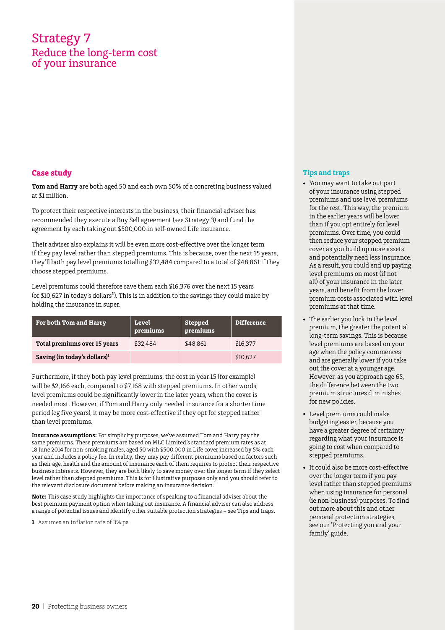### Strategy 7 Reduce the long‑term cost of your insurance

#### **Case study**

**Tom and Harry** are both aged 50 and each own 50% of a concreting business valued at \$1 million.

To protect their respective interests in the business, their financial adviser has recommended they execute a Buy Sell agreement (see Strategy 3) and fund the agreement by each taking out \$500,000 in self-owned Life insurance.

Their adviser also explains it will be even more cost-effective over the longer term if they pay level rather than stepped premiums. This is because, over the next 15 years, they'll both pay level premiums totalling \$32,484 compared to a total of \$48,861 if they choose stepped premiums.

Level premiums could therefore save them each \$16,376 over the next 15 years (or \$10,627 in today's dollars**1**). This is in addition to the savings they could make by holding the insurance in super.

| <b>For both Tom and Harry</b>            | Level<br>premiums | <b>Stepped</b><br>premiums | <b>Difference</b> |
|------------------------------------------|-------------------|----------------------------|-------------------|
| Total premiums over 15 years             | \$32,484          | \$48.861                   | \$16,377          |
| Saving (in today's dollars) <sup>1</sup> |                   |                            | \$10,627          |

Furthermore, if they both pay level premiums, the cost in year 15 (for example) will be \$2,166 each, compared to \$7,168 with stepped premiums. In other words, level premiums could be significantly lower in the later years, when the cover is needed most. However, if Tom and Harry only needed insurance for a shorter time period (eg five years), it may be more cost-effective if they opt for stepped rather than level premiums.

**Insurance assumptions:** For simplicity purposes, we've assumed Tom and Harry pay the same premiums. These premiums are based on MLC Limited's standard premium rates as at 18 June 2014 for non-smoking males, aged 50 with \$500,000 in Life cover increased by 5% each year and includes a policy fee. In reality, they may pay different premiums based on factors such as their age, health and the amount of insurance each of them requires to protect their respective business interests. However, they are both likely to save money over the longer term if they select level rather than stepped premiums. This is for illustrative purposes only and you should refer to the relevant disclosure document before making an insurance decision.

**Note:** This case study highlights the importance of speaking to a financial adviser about the best premium payment option when taking out insurance. A financial adviser can also address a range of potential issues and identify other suitable protection strategies – see Tips and traps.

**1** Assumes an inflation rate of 3% pa.

- • You may want to take out part of your insurance using stepped premiums and use level premiums for the rest. This way, the premium in the earlier years will be lower than if you opt entirely for level premiums. Over time, you could then reduce your stepped premium cover as you build up more assets and potentially need less insurance. As a result, you could end up paying level premiums on most (if not all) of your insurance in the later years, and benefit from the lower premium costs associated with level premiums at that time.
- The earlier you lock in the level premium, the greater the potential long-term savings. This is because level premiums are based on your age when the policy commences and are generally lower if you take out the cover at a younger age. However, as you approach age 65, the difference between the two premium structures diminishes for new policies.
- • Level premiums could make budgeting easier, because you have a greater degree of certainty regarding what your insurance is going to cost when compared to stepped premiums.
- • It could also be more cost-effective over the longer term if you pay level rather than stepped premiums when using insurance for personal (ie non-business) purposes. To find out more about this and other personal protection strategies, see our 'Protecting you and your family' guide.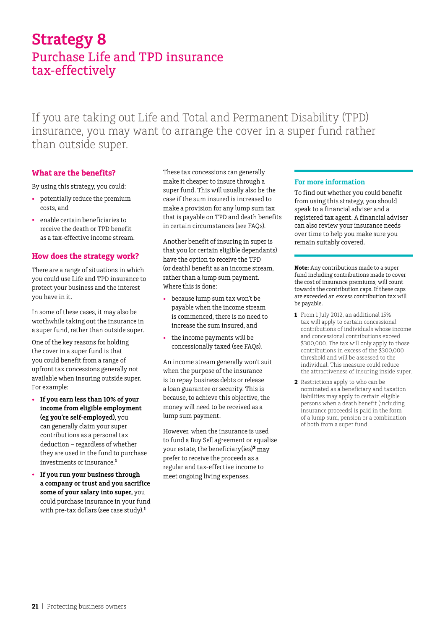### **Strategy 8** Purchase Life and TPD insurance tax-effectively

If you are taking out Life and Total and Permanent Disability (TPD) insurance, you may want to arrange the cover in a super fund rather than outside super.

#### **What are the benefits?**

By using this strategy, you could:

- • potentially reduce the premium costs, and
- enable certain beneficiaries to receive the death or TPD benefit as a tax-effective income stream.

#### **How does the strategy work?**

There are a range of situations in which you could use Life and TPD insurance to protect your business and the interest you have in it.

In some of these cases, it may also be worthwhile taking out the insurance in a super fund, rather than outside super.

One of the key reasons for holding the cover in a super fund is that you could benefit from a range of upfront tax concessions generally not available when insuring outside super. For example:

- • **If you earn less than 10% of your income from eligible employment (eg you're self-employed),** you can generally claim your super contributions as a personal tax deduction – regardless of whether they are used in the fund to purchase investments or insurance.**<sup>1</sup>**
- If you run your business through **a company or trust and you sacrifice some of your salary into super,** you could purchase insurance in your fund with pre-tax dollars (see case study).**<sup>1</sup>**

These tax concessions can generally make it cheaper to insure through a super fund. This will usually also be the case if the sum insured is increased to make a provision for any lump sum tax that is payable on TPD and death benefits in certain circumstances (see FAQs).

Another benefit of insuring in super is that you (or certain eligible dependants) have the option to receive the TPD (or death) benefit as an income stream, rather than a lump sum payment. Where this is done:

- because lump sum tax won't be payable when the income stream is commenced, there is no need to increase the sum insured, and
- the income payments will be concessionally taxed (see FAQs).

An income stream generally won't suit when the purpose of the insurance is to repay business debts or release a loan guarantee or security. This is because, to achieve this objective, the money will need to be received as a lump sum payment.

However, when the insurance is used to fund a Buy Sell agreement or equalise your estate, the beneficiary(ies)**<sup>2</sup>** may prefer to receive the proceeds as a regular and tax-effective income to meet ongoing living expenses.

#### **For more information**

To find out whether you could benefit from using this strategy, you should speak to a financial adviser and a registered tax agent. A financial adviser can also review your insurance needs over time to help you make sure you remain suitably covered.

**Note:** Any contributions made to a super fund including contributions made to cover the cost of insurance premiums, will count towards the contribution caps. If these caps are exceeded an excess contribution tax will be payable.

- **1** From 1 July 2012, an additional 15% tax will apply to certain concessional contributions of individuals whose income and concessional contributions exceed \$300,000. The tax will only apply to those contributions in excess of the \$300,000 threshold and will be assessed to the individual. This measure could reduce the attractiveness of insuring inside super.
- **2** Restrictions apply to who can be nominated as a beneficiary and taxation liabilities may apply to certain eligible persons when a death benefit (including insurance proceeds) is paid in the form of a lump sum, pension or a combination of both from a super fund.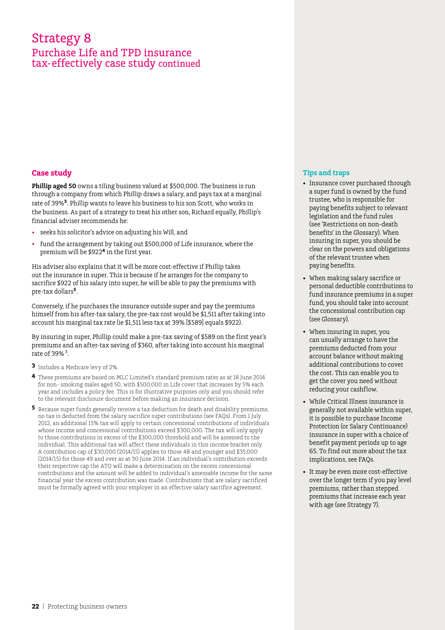### Strategy 8 Purchase Life and TPD insurance tax- effectively case study continued

#### **Case study**

**Phillip aged 50** owns a tiling business valued at \$500,000. The business is run through a company from which Phillip draws a salary, and pays tax at a marginal rate of 39%**<sup>3</sup>**. Phillip wants to leave his business to his son Scott, who works in the business. As part of a strategy to treat his other son, Richard equally, Phillip's financial adviser recommends he:

- • seeks his solicitor's advice on adjusting his Will, and
- fund the arrangement by taking out \$500,000 of Life insurance, where the premium will be \$922**4** in the first year.

His adviser also explains that it will be more cost-effective if Phillip takes out the insurance in super. This is because if he arranges for the company to sacrifice \$922 of his salary into super, he will be able to pay the premiums with pre-tax dollars**5**.

Conversely, if he purchases the insurance outside super and pay the premiums himself from his after-tax salary, the pre-tax cost would be \$1,511 after taking into account his marginal tax rate (ie \$1,511 less tax at 39% [\$589] equals \$922).

By insuring in super, Phillip could make a pre-tax saving of \$589 on the first year's premiums and an after-tax saving of \$360, after taking into account his marginal rate of 39% 3.

- **3** Includes a Medicare levy of 2%.
- **4** These premiums are based on MLC Limited's standard premium rates as at 18 June 2014 for non- smoking males aged 50, with \$500,000 in Life cover that increases by 5% each year and includes a policy fee. This is for illustrative purposes only and you should refer to the relevant disclosure document before making an insurance decision.
- **5** Because super funds generally receive a tax deduction for death and disability premiums, no tax is deducted from the salary sacrifice super contributions (see FAQs). From 1 July 2012, an additional 15% tax will apply to certain concessional contributions of individuals whose income and concessional contributions exceed \$300,000. The tax will only apply to those contributions in excess of the \$300,000 threshold and will be assessed to the individual. This additional tax will affect these individuals in this income bracket only. A contribution cap of \$30,000 (2014/15) applies to those 48 and younger and \$35,000 (2014/15) for those 49 and over as at 30 June 2014. If an individual's contribution exceeds their respective cap the ATO will make a determination on the excess concessional contributions and the amount will be added to individual's assessable income for the same financial year the excess contribution was made. Contributions that are salary sacrificed must be formally agreed with your employer in an effective salary sacrifice agreement.

- Insurance cover purchased through a super fund is owned by the fund trustee, who is responsible for paying benefits subject to relevant legislation and the fund rules (see 'Restrictions on non-death benefits' in the Glossary). When insuring in super, you should be clear on the powers and obligations of the relevant trustee when paying benefits.
- • When making salary sacrifice or personal deductible contributions to fund insurance premiums in a super fund, you should take into account the concessional contribution cap (see Glossary).
- • When insuring in super, you can usually arrange to have the premiums deducted from your account balance without making additional contributions to cover the cost. This can enable you to get the cover you need without reducing your cashflow.
- • While Critical Illness insurance is generally not available within super, it is possible to purchase Income Protection (or Salary Continuance) insurance in super with a choice of benefit payment periods up to age 65. To find out more about the tax implications, see FAQs.
- It may be even more cost-effective over the longer term if you pay level premiums, rather than stepped premiums that increase each year with age (see Strategy 7).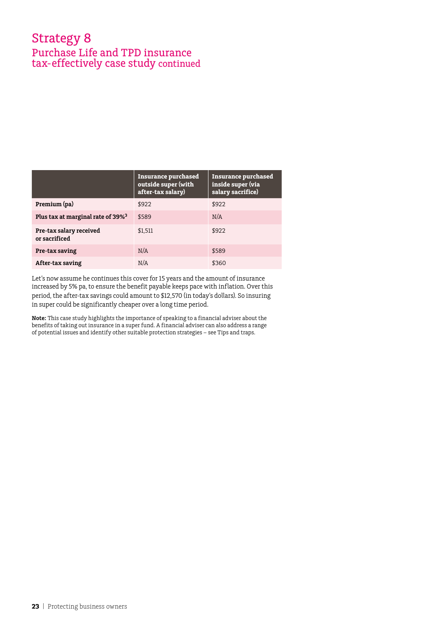### Strategy 8 Purchase Life and TPD insurance tax- effectively case study continued

|                                               | Insurance purchased<br>outside super (with<br>after-tax salary) | <b>Insurance purchased</b><br>inside super (via<br>salary sacrifice) |
|-----------------------------------------------|-----------------------------------------------------------------|----------------------------------------------------------------------|
| Premium (pa)                                  | \$922                                                           | \$922                                                                |
| Plus tax at marginal rate of 39% <sup>3</sup> | \$589                                                           | N/A                                                                  |
| Pre-tax salary received<br>or sacrificed      | \$1,511                                                         | \$922                                                                |
| Pre-tax saving                                | N/A                                                             | \$589                                                                |
| After-tax saving                              | N/A                                                             | \$360                                                                |

Let's now assume he continues this cover for 15 years and the amount of insurance increased by 5% pa, to ensure the benefit payable keeps pace with inflation. Over this period, the after-tax savings could amount to \$12,570 (in today's dollars). So insuring in super could be significantly cheaper over a long time period.

**Note:** This case study highlights the importance of speaking to a financial adviser about the benefits of taking out insurance in a super fund. A financial adviser can also address a range of potential issues and identify other suitable protection strategies – see Tips and traps.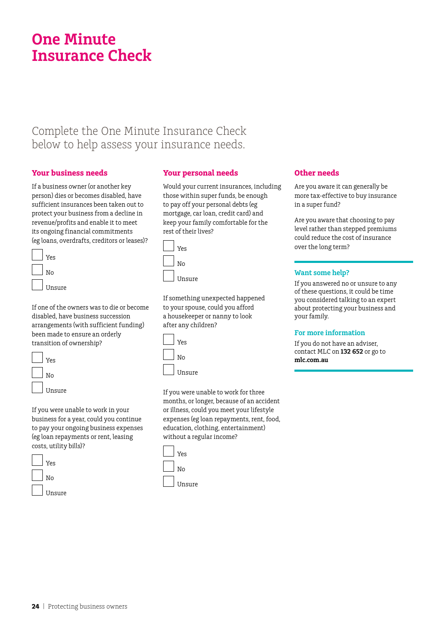## **One Minute Insurance Check**

### Complete the One Minute Insurance Check below to help assess your insurance needs.

#### **Your business needs**

If a business owner (or another key person) dies or becomes disabled, have sufficient insurances been taken out to protect your business from a decline in revenue/profits and enable it to meet its ongoing financial commitments (eg loans, overdrafts, creditors or leases)?

| Yes    |
|--------|
| No     |
| Unsure |

If one of the owners was to die or become disabled, have business succession arrangements (with sufficient funding) been made to ensure an orderly transition of ownership?

| Yes    |
|--------|
| No     |
| Unsure |

If you were unable to work in your business for a year, could you continue to pay your ongoing business expenses (eg loan repayments or rent, leasing costs, utility bills)?

| Yes    |
|--------|
| No     |
| Unsure |

#### **Your personal needs**

Would your current insurances, including those within super funds, be enough to pay off your personal debts (eg mortgage, car loan, credit card) and keep your family comfortable for the rest of their lives?



If something unexpected happened to your spouse, could you afford a housekeeper or nanny to look after any children?

| Yes    |
|--------|
| Νo     |
| Unsure |

If you were unable to work for three months, or longer, because of an accident or illness, could you meet your lifestyle expenses (eg loan repayments, rent, food, education, clothing, entertainment) without a regular income?



#### **Other needs**

Are you aware it can generally be more tax-effective to buy insurance in a super fund?

Are you aware that choosing to pay level rather than stepped premiums could reduce the cost of insurance over the long term?

#### **Want some help?**

If you answered no or unsure to any of these questions, it could be time you considered talking to an expert about protecting your business and your family.

#### **For more information**

If you do not have an adviser, contact MLC on **132 652** or go to **mlc.com.au**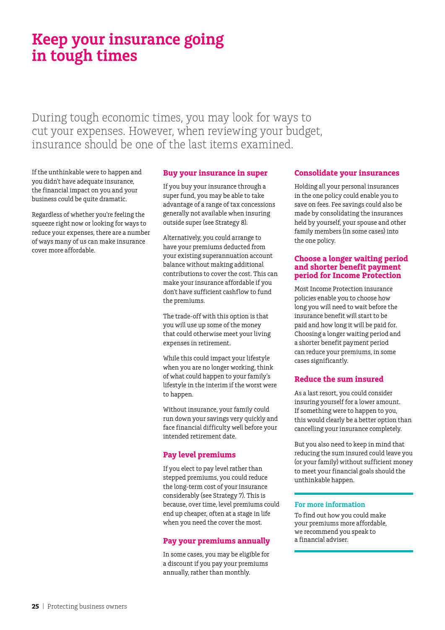## **Keep your insurance going in tough times**

During tough economic times, you may look for ways to cut your expenses. However, when reviewing your budget, insurance should be one of the last items examined.

If the unthinkable were to happen and you didn't have adequate insurance, the financial impact on you and your business could be quite dramatic.

Regardless of whether you're feeling the squeeze right now or looking for ways to reduce your expenses, there are a number of ways many of us can make insurance cover more affordable.

#### **Buy your insurance in super**

If you buy your insurance through a super fund, you may be able to take advantage of a range of tax concessions generally not available when insuring outside super (see Strategy 8).

Alternatively, you could arrange to have your premiums deducted from your existing superannuation account balance without making additional contributions to cover the cost. This can make your insurance affordable if you don't have sufficient cashflow to fund the premiums.

The trade-off with this option is that you will use up some of the money that could otherwise meet your living expenses in retirement.

While this could impact your lifestyle when you are no longer working, think of what could happen to your family's lifestyle in the interim if the worst were to happen.

Without insurance, your family could run down your savings very quickly and face financial difficulty well before your intended retirement date.

#### **Pay level premiums**

If you elect to pay level rather than stepped premiums, you could reduce the long-term cost of your insurance considerably (see Strategy 7). This is because, over time, level premiums could end up cheaper, often at a stage in life when you need the cover the most.

#### **Pay your premiums annually**

In some cases, you may be eligible for a discount if you pay your premiums annually, rather than monthly.

#### **Consolidate your insurances**

Holding all your personal insurances in the one policy could enable you to save on fees. Fee savings could also be made by consolidating the insurances held by yourself, your spouse and other family members (in some cases) into the one policy.

#### **Choose a longer waiting period and shorter benefit payment period for Income Protection**

Most Income Protection insurance policies enable you to choose how long you will need to wait before the insurance benefit will start to be paid and how long it will be paid for. Choosing a longer waiting period and a shorter benefit payment period can reduce your premiums, in some cases significantly.

#### **Reduce the sum insured**

As a last resort, you could consider insuring yourself for a lower amount. If something were to happen to you, this would clearly be a better option than cancelling your insurance completely.

But you also need to keep in mind that reducing the sum insured could leave you (or your family) without sufficient money to meet your financial goals should the unthinkable happen.

#### **For more information**

To find out how you could make your premiums more affordable, we recommend you speak to a financial adviser.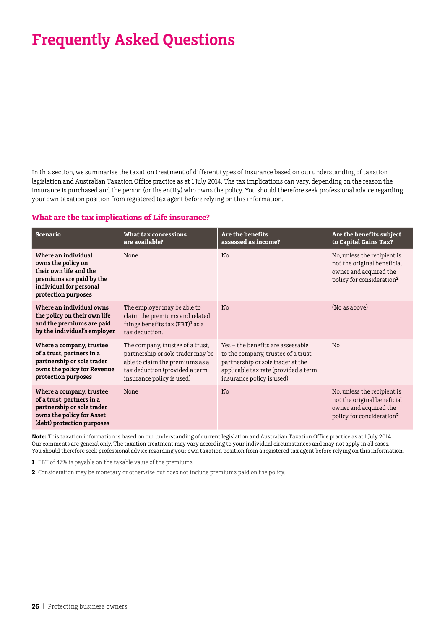In this section, we summarise the taxation treatment of different types of insurance based on our understanding of taxation legislation and Australian Taxation Office practice as at 1 July 2014. The tax implications can vary, depending on the reason the insurance is purchased and the person (or the entity) who owns the policy. You should therefore seek professional advice regarding your own taxation position from registered tax agent before relying on this information.

#### **What are the tax implications of Life insurance?**

| <b>Scenario</b>                                                                                                                                   | What tax concessions<br>are available?                                                                                                                                  | Are the benefits<br>assessed as income?                                                                                                                                            | Are the benefits subject<br>to Capital Gains Tax?                                                                             |
|---------------------------------------------------------------------------------------------------------------------------------------------------|-------------------------------------------------------------------------------------------------------------------------------------------------------------------------|------------------------------------------------------------------------------------------------------------------------------------------------------------------------------------|-------------------------------------------------------------------------------------------------------------------------------|
| Where an individual<br>owns the policy on<br>their own life and the<br>premiums are paid by the<br>individual for personal<br>protection purposes | None                                                                                                                                                                    | N <sub>0</sub>                                                                                                                                                                     | No, unless the recipient is<br>not the original beneficial<br>owner and acquired the<br>policy for consideration <sup>2</sup> |
| Where an individual owns<br>the policy on their own life<br>and the premiums are paid<br>by the individual's employer                             | The employer may be able to<br>claim the premiums and related<br>fringe benefits tax (FBT) <sup>1</sup> as a<br>tax deduction.                                          | N <sub>0</sub>                                                                                                                                                                     | (No as above)                                                                                                                 |
| Where a company, trustee<br>of a trust, partners in a<br>partnership or sole trader<br>owns the policy for Revenue<br>protection purposes         | The company, trustee of a trust,<br>partnership or sole trader may be<br>able to claim the premiums as a<br>tax deduction (provided a term<br>insurance policy is used) | Yes – the benefits are assessable<br>to the company, trustee of a trust,<br>partnership or sole trader at the<br>applicable tax rate (provided a term<br>insurance policy is used) | No                                                                                                                            |
| Where a company, trustee<br>of a trust, partners in a<br>partnership or sole trader<br>owns the policy for Asset<br>(debt) protection purposes    | None                                                                                                                                                                    | No                                                                                                                                                                                 | No, unless the recipient is<br>not the original beneficial<br>owner and acquired the<br>policy for consideration <sup>2</sup> |

**Note:** This taxation information is based on our understanding of current legislation and Australian Taxation Office practice as at 1 July 2014. Our comments are general only. The taxation treatment may vary according to your individual circumstances and may not apply in all cases. You should therefore seek professional advice regarding your own taxation position from a registered tax agent before relying on this information.

**1** FBT of 47% is payable on the taxable value of the premiums.

**2** Consideration may be monetary or otherwise but does not include premiums paid on the policy.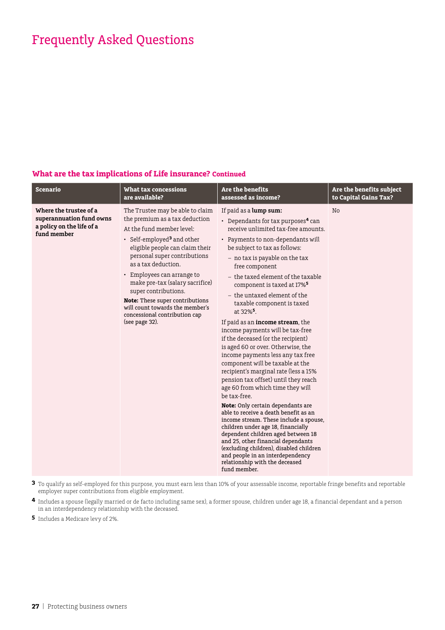#### **What are the tax implications of Life insurance? Continued**

| <b>Scenario</b>                                                                                | <b>What tax concessions</b>                                                                                                                                                                                                                                                                                                                                                                                                                           | <b>Are the benefits</b>                                                                                                                                                                                                                                                                                                                                                                                                                                                                                                                                                                                                                                                                                                                                                                                                                                                                                                                                                                                                                                                                                                                                                      | Are the benefits subject |
|------------------------------------------------------------------------------------------------|-------------------------------------------------------------------------------------------------------------------------------------------------------------------------------------------------------------------------------------------------------------------------------------------------------------------------------------------------------------------------------------------------------------------------------------------------------|------------------------------------------------------------------------------------------------------------------------------------------------------------------------------------------------------------------------------------------------------------------------------------------------------------------------------------------------------------------------------------------------------------------------------------------------------------------------------------------------------------------------------------------------------------------------------------------------------------------------------------------------------------------------------------------------------------------------------------------------------------------------------------------------------------------------------------------------------------------------------------------------------------------------------------------------------------------------------------------------------------------------------------------------------------------------------------------------------------------------------------------------------------------------------|--------------------------|
|                                                                                                | are available?                                                                                                                                                                                                                                                                                                                                                                                                                                        | assessed as income?                                                                                                                                                                                                                                                                                                                                                                                                                                                                                                                                                                                                                                                                                                                                                                                                                                                                                                                                                                                                                                                                                                                                                          | to Capital Gains Tax?    |
| Where the trustee of a<br>superannuation fund owns<br>a policy on the life of a<br>fund member | The Trustee may be able to claim<br>the premium as a tax deduction<br>At the fund member level:<br>• Self-employed <sup>3</sup> and other<br>eligible people can claim their<br>personal super contributions<br>as a tax deduction.<br>• Employees can arrange to<br>make pre-tax (salary sacrifice)<br>super contributions.<br>Note: These super contributions<br>will count towards the member's<br>concessional contribution cap<br>(see page 32). | If paid as a lump sum:<br>• Dependants for tax purposes <sup>4</sup> can<br>receive unlimited tax-free amounts.<br>• Payments to non-dependants will<br>be subject to tax as follows:<br>- no tax is payable on the tax<br>free component<br>- the taxed element of the taxable<br>component is taxed at 17% <sup>5</sup><br>- the untaxed element of the<br>taxable component is taxed<br>at 32% <sup>5</sup> .<br>If paid as an <b>income stream</b> , the<br>income payments will be tax-free<br>if the deceased (or the recipient)<br>is aged 60 or over. Otherwise, the<br>income payments less any tax free<br>component will be taxable at the<br>recipient's marginal rate (less a 15%<br>pension tax offset) until they reach<br>age 60 from which time they will<br>be tax-free.<br><b>Note:</b> Only certain dependants are<br>able to receive a death benefit as an<br>income stream. These include a spouse,<br>children under age 18, financially<br>dependent children aged between 18<br>and 25, other financial dependants<br>(excluding children), disabled children<br>and people in an interdependency<br>relationship with the deceased<br>fund member. | No                       |

**3** To qualify as self-employed for this purpose, you must earn less than 10% of your assessable income, reportable fringe benefits and reportable employer super contributions from eligible employment.

**4** Includes a spouse (legally married or de facto including same sex), a former spouse, children under age 18, a financial dependant and a person in an interdependency relationship with the deceased.

**5** Includes a Medicare levy of 2%.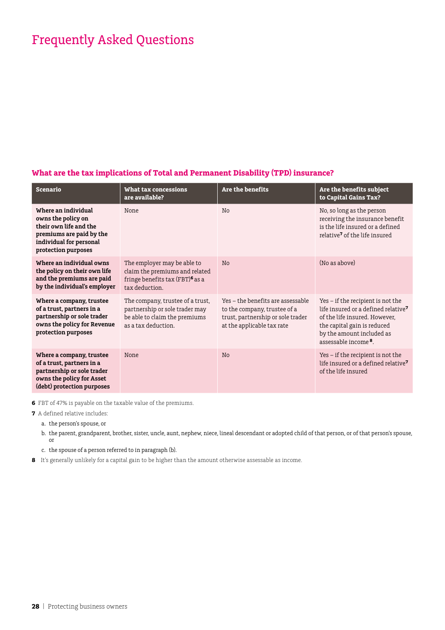#### **What are the tax implications of Total and Permanent Disability (TPD) insurance?**

| <b>Scenario</b>                                                                                                                                   | What tax concessions<br>are available?                                                                                         | <b>Are the benefits</b>                                                                                                              | Are the benefits subject<br>to Capital Gains Tax?                                                                                                                                                                     |
|---------------------------------------------------------------------------------------------------------------------------------------------------|--------------------------------------------------------------------------------------------------------------------------------|--------------------------------------------------------------------------------------------------------------------------------------|-----------------------------------------------------------------------------------------------------------------------------------------------------------------------------------------------------------------------|
| Where an individual<br>owns the policy on<br>their own life and the<br>premiums are paid by the<br>individual for personal<br>protection purposes | None                                                                                                                           | N <sub>0</sub>                                                                                                                       | No, so long as the person<br>receiving the insurance benefit<br>is the life insured or a defined<br>relative <sup>7</sup> of the life insured                                                                         |
| Where an individual owns<br>the policy on their own life<br>and the premiums are paid<br>by the individual's employer                             | The employer may be able to<br>claim the premiums and related<br>fringe benefits tax (FBT) <sup>6</sup> as a<br>tax deduction. | N <sub>o</sub>                                                                                                                       | (No as above)                                                                                                                                                                                                         |
| Where a company, trustee<br>of a trust, partners in a<br>partnership or sole trader<br>owns the policy for Revenue<br>protection purposes         | The company, trustee of a trust,<br>partnership or sole trader may<br>be able to claim the premiums<br>as a tax deduction.     | Yes - the benefits are assessable<br>to the company, trustee of a<br>trust, partnership or sole trader<br>at the applicable tax rate | Yes – if the recipient is not the<br>life insured or a defined relative <sup>7</sup><br>of the life insured. However,<br>the capital gain is reduced<br>by the amount included as<br>assessable income <sup>8</sup> . |
| Where a company, trustee<br>of a trust, partners in a<br>partnership or sole trader<br>owns the policy for Asset<br>(debt) protection purposes    | None                                                                                                                           | N <sub>o</sub>                                                                                                                       | Yes - if the recipient is not the<br>life insured or a defined relative <sup>7</sup><br>of the life insured                                                                                                           |

**6** FBT of 47% is payable on the taxable value of the premiums.

**7** A defined relative includes:

a. the person's spouse, or

b. the parent, grandparent, brother, sister, uncle, aunt, nephew, niece, lineal descendant or adopted child of that person, or of that person's spouse, or

- c. the spouse of a person referred to in paragraph (b).
- **8** It's generally unlikely for a capital gain to be higher than the amount otherwise assessable as income.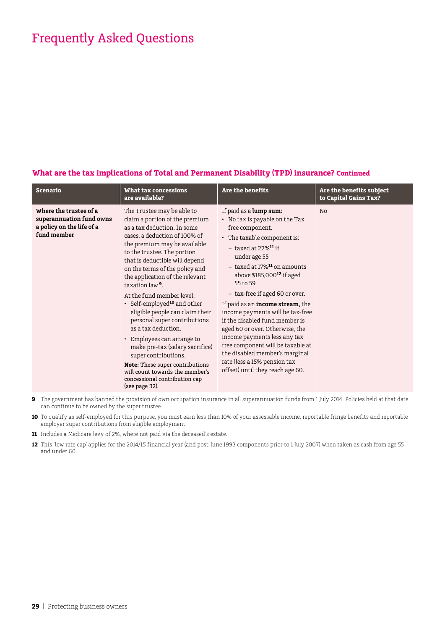#### **What are the tax implications of Total and Permanent Disability (TPD) insurance? Continued**

| <b>Scenario</b>                                                                                | What tax concessions<br>are available?                                                                                                                                                                                                                                                                                                                                                                                                                                                                                                                                                                                                                                                                                       | Are the benefits                                                                                                                                                                                                                                                                                                                                                                                                                                                                                                                                                                                                      | Are the benefits subject<br>to Capital Gains Tax? |
|------------------------------------------------------------------------------------------------|------------------------------------------------------------------------------------------------------------------------------------------------------------------------------------------------------------------------------------------------------------------------------------------------------------------------------------------------------------------------------------------------------------------------------------------------------------------------------------------------------------------------------------------------------------------------------------------------------------------------------------------------------------------------------------------------------------------------------|-----------------------------------------------------------------------------------------------------------------------------------------------------------------------------------------------------------------------------------------------------------------------------------------------------------------------------------------------------------------------------------------------------------------------------------------------------------------------------------------------------------------------------------------------------------------------------------------------------------------------|---------------------------------------------------|
| Where the trustee of a<br>superannuation fund owns<br>a policy on the life of a<br>fund member | The Trustee may be able to<br>claim a portion of the premium<br>as a tax deduction. In some<br>cases, a deduction of 100% of<br>the premium may be available<br>to the trustee. The portion<br>that is deductible will depend<br>on the terms of the policy and<br>the application of the relevant<br>taxation law <sup>9</sup> .<br>At the fund member level:<br>• Self-employed <sup>10</sup> and other<br>eligible people can claim their<br>personal super contributions<br>as a tax deduction.<br>• Employees can arrange to<br>make pre-tax (salary sacrifice)<br>super contributions.<br><b>Note:</b> These super contributions<br>will count towards the member's<br>concessional contribution cap<br>(see page 32). | If paid as a lump sum:<br>• No tax is payable on the Tax<br>free component.<br>• The taxable component is:<br>$-$ taxed at 22% $11$ if<br>under age 55<br>$-$ taxed at 17% $^{11}$ on amounts<br>above $$185,000$ <sup>12</sup> if aged<br>55 to 59<br>- tax-free if aged 60 or over.<br>If paid as an <b>income stream</b> , the<br>income payments will be tax-free<br>if the disabled fund member is<br>aged 60 or over. Otherwise, the<br>income payments less any tax<br>free component will be taxable at<br>the disabled member's marginal<br>rate (less a 15% pension tax<br>offset) until they reach age 60. | No                                                |

- **9** The government has banned the provision of own occupation insurance in all superannuation funds from 1 July 2014. Policies held at that date can continue to be owned by the super trustee.
- **10** To qualify as self-employed for this purpose, you must earn less than 10% of your assessable income, reportable fringe benefits and reportable employer super contributions from eligible employment.
- **11** Includes a Medicare levy of 2%, where not paid via the deceased's estate.
- **12** This 'low rate cap' applies for the 2014/15 financial year (and post-June 1993 components prior to 1 July 2007) when taken as cash from age 55 and under 60.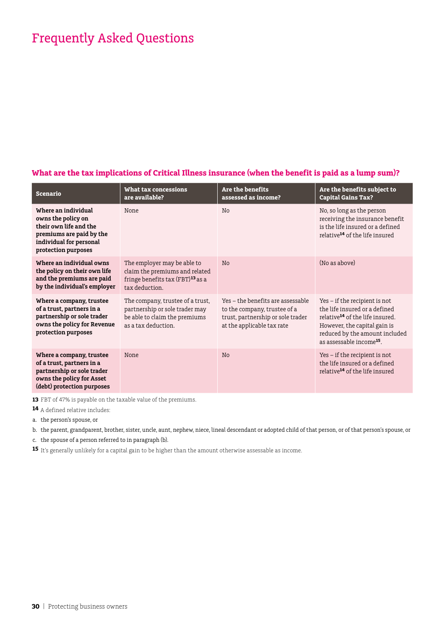#### **What are the tax implications of Critical Illness insurance (when the benefit is paid as a lump sum)?**

| <b>Scenario</b>                                                                                                                                   | What tax concessions<br>are available?                                                                                          | <b>Are the benefits</b><br>assessed as income?                                                                                       | Are the benefits subject to<br><b>Capital Gains Tax?</b>                                                                                                                                                                  |
|---------------------------------------------------------------------------------------------------------------------------------------------------|---------------------------------------------------------------------------------------------------------------------------------|--------------------------------------------------------------------------------------------------------------------------------------|---------------------------------------------------------------------------------------------------------------------------------------------------------------------------------------------------------------------------|
| Where an individual<br>owns the policy on<br>their own life and the<br>premiums are paid by the<br>individual for personal<br>protection purposes | None                                                                                                                            | No                                                                                                                                   | No, so long as the person<br>receiving the insurance benefit<br>is the life insured or a defined<br>relative <sup>14</sup> of the life insured                                                                            |
| Where an individual owns<br>the policy on their own life<br>and the premiums are paid<br>by the individual's employer                             | The employer may be able to<br>claim the premiums and related<br>fringe benefits tax (FBT) <sup>13</sup> as a<br>tax deduction. | <b>No</b>                                                                                                                            | (No as above)                                                                                                                                                                                                             |
| Where a company, trustee<br>of a trust, partners in a<br>partnership or sole trader<br>owns the policy for Revenue<br>protection purposes         | The company, trustee of a trust,<br>partnership or sole trader may<br>be able to claim the premiums<br>as a tax deduction.      | Yes – the benefits are assessable<br>to the company, trustee of a<br>trust, partnership or sole trader<br>at the applicable tax rate | $Yes - if the recipient is not$<br>the life insured or a defined<br>relative <sup>14</sup> of the life insured.<br>However, the capital gain is<br>reduced by the amount included<br>as assessable income <sup>15</sup> . |
| Where a company, trustee<br>of a trust, partners in a<br>partnership or sole trader<br>owns the policy for Asset<br>(debt) protection purposes    | None                                                                                                                            | <b>No</b>                                                                                                                            | $Yes - if the recipient is not$<br>the life insured or a defined<br>relative <sup>14</sup> of the life insured                                                                                                            |

**13** FBT of 47% is payable on the taxable value of the premiums.

**14** A defined relative includes:

a. the person's spouse, or

b. the parent, grandparent, brother, sister, uncle, aunt, nephew, niece, lineal descendant or adopted child of that person, or of that person's spouse, or

c. the spouse of a person referred to in paragraph (b).

**15** It's generally unlikely for a capital gain to be higher than the amount otherwise assessable as income.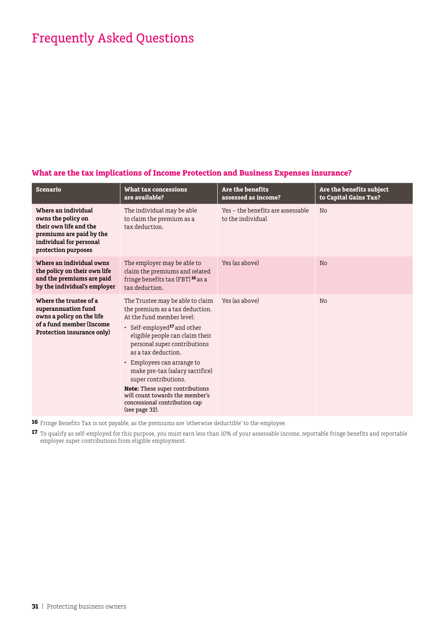#### **What are the tax implications of Income Protection and Business Expenses insurance?**

| <b>Scenario</b>                                                                                                                                   | What tax concessions<br>are available?                                                                                                                                                                                                                                                                                                                                                                                                                         | Are the benefits<br>assessed as income?                | Are the benefits subject<br>to Capital Gains Tax? |
|---------------------------------------------------------------------------------------------------------------------------------------------------|----------------------------------------------------------------------------------------------------------------------------------------------------------------------------------------------------------------------------------------------------------------------------------------------------------------------------------------------------------------------------------------------------------------------------------------------------------------|--------------------------------------------------------|---------------------------------------------------|
| Where an individual<br>owns the policy on<br>their own life and the<br>premiums are paid by the<br>individual for personal<br>protection purposes | The individual may be able<br>to claim the premium as a<br>tax deduction.                                                                                                                                                                                                                                                                                                                                                                                      | Yes - the benefits are assessable<br>to the individual | No                                                |
| Where an individual owns<br>the policy on their own life<br>and the premiums are paid<br>by the individual's employer                             | The employer may be able to<br>claim the premiums and related<br>fringe benefits tax (FBT) <sup>16</sup> as a<br>tax deduction.                                                                                                                                                                                                                                                                                                                                | Yes (as above)                                         | N <sub>o</sub>                                    |
| Where the trustee of a<br>superannuation fund<br>owns a policy on the life<br>of a fund member (Income<br>Protection insurance only)              | The Trustee may be able to claim<br>the premium as a tax deduction.<br>At the fund member level:<br>• Self-employed <sup>17</sup> and other<br>eligible people can claim their<br>personal super contributions<br>as a tax deduction.<br>• Employees can arrange to<br>make pre-tax (salary sacrifice)<br>super contributions.<br><b>Note:</b> These super contributions<br>will count towards the member's<br>concessional contribution cap<br>(see page 32). | Yes (as above)                                         | No                                                |

**16** Fringe Benefits Tax is not payable, as the premiums are 'otherwise deductible' to the employee.

**17** To qualify as self-employed for this purpose, you must earn less than 10% of your assessable income, reportable fringe benefits and reportable employer super contributions from eligible employment.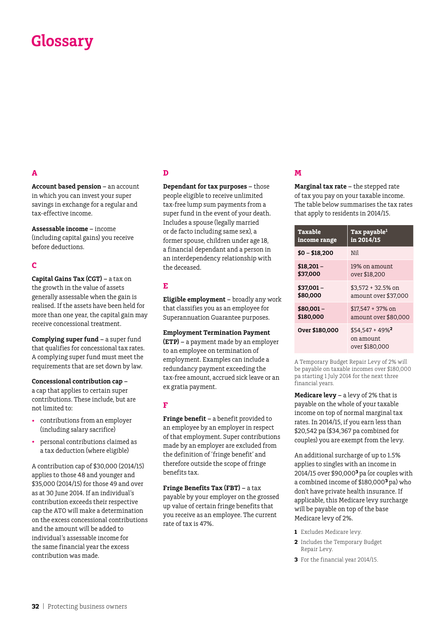## **Glossary**

#### **A**

**Account based pension –** an account in which you can invest your super savings in exchange for a regular and tax-effective income.

**Assessable income –** income (including capital gains) you receive before deductions.

#### **C**

**Capital Gains Tax (CGT) –** a tax on the growth in the value of assets generally assessable when the gain is realised. If the assets have been held for more than one year, the capital gain may receive concessional treatment.

**Complying super fund –** a super fund that qualifies for concessional tax rates. A complying super fund must meet the requirements that are set down by law.

**Concessional contribution cap –**  a cap that applies to certain super contributions. These include, but are not limited to:

- • contributions from an employer (including salary sacrifice)
- • personal contributions claimed as a tax deduction (where eligible)

A contribution cap of \$30,000 (2014/15) applies to those 48 and younger and \$35,000 (2014/15) for those 49 and over as at 30 June 2014. If an individual's contribution exceeds their respective cap the ATO will make a determination on the excess concessional contributions and the amount will be added to individual's assessable income for the same financial year the excess contribution was made.

#### **D**

**Dependant for tax purposes –** those people eligible to receive unlimited tax-free lump sum payments from a super fund in the event of your death. Includes a spouse (legally married or de facto including same sex), a former spouse, children under age 18, a financial dependant and a person in an interdependency relationship with the deceased.

#### **E**

**Eligible employment –** broadly any work that classifies you as an employee for Superannuation Guarantee purposes.

#### **Employment Termination Payment**

**(ETP) –** a payment made by an employer to an employee on termination of employment. Examples can include a redundancy payment exceeding the tax-free amount, accrued sick leave or an ex gratia payment.

#### **F**

**Fringe benefit –** a benefit provided to an employee by an employer in respect of that employment. Super contributions made by an employer are excluded from the definition of 'fringe benefit' and therefore outside the scope of fringe benefits tax.

**Fringe Benefits Tax (FBT) –** a tax payable by your employer on the grossed up value of certain fringe benefits that you receive as an employee. The current rate of tax is 47%.

#### **M**

**Marginal tax rate –** the stepped rate of tax you pay on your taxable income. The table below summarises the tax rates that apply to residents in 2014/15.

| <b>Taxable</b> | Tax payable <sup>1</sup>                                     |
|----------------|--------------------------------------------------------------|
| income range   | in 2014/15                                                   |
| $$0 - $18,200$ | Nil                                                          |
| $$18,201-$     | 19% on amount                                                |
| \$37.000       | over \$18.200                                                |
| $$37.001 -$    | \$3,572 + 32.5% on                                           |
| \$80.000       | amount over \$37.000                                         |
| $$80,001 -$    | $$17.547 + 37\%$ on                                          |
| \$180,000      | amount over \$80,000                                         |
| Over \$180,000 | $$54.547 + 49\%$ <sup>2</sup><br>on amount<br>over \$180.000 |

A Temporary Budget Repair Levy of 2% will be payable on taxable incomes over \$180,000 pa starting 1 July 2014 for the next three financial years.

**Medicare levy –** a levy of 2% that is payable on the whole of your taxable income on top of normal marginal tax rates. In 2014/15, if you earn less than \$20,542 pa (\$34,367 pa combined for couples) you are exempt from the levy.

An additional surcharge of up to 1.5% applies to singles with an income in 2014/15 over \$90,000**<sup>3</sup>**pa (or couples with a combined income of \$180,000**<sup>3</sup>**pa) who don't have private health insurance. If applicable, this Medicare levy surcharge will be payable on top of the base Medicare levy of 2%.

- **1** Excludes Medicare levy.
- **2** Includes the Temporary Budget Repair Levy.
- **3** For the financial year 2014/15.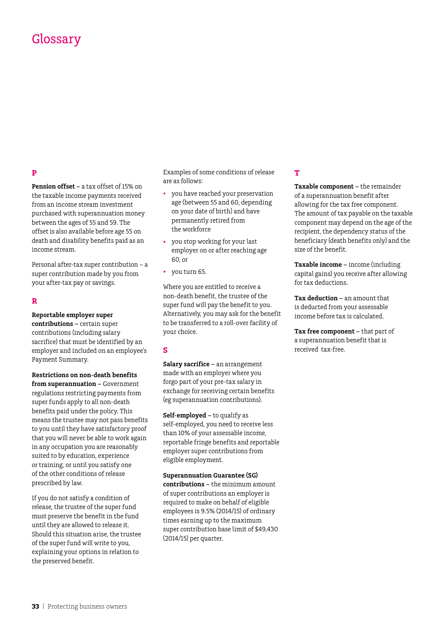### Glossary

#### **P**

**Pension offset –** a tax offset of 15% on the taxable income payments received from an income stream investment purchased with superannuation money between the ages of 55 and 59. The offset is also available before age 55 on death and disability benefits paid as an income stream.

Personal after-tax super contribution – a super contribution made by you from your after-tax pay or savings.

#### **R**

**Reportable employer super contributions –** certain super contributions (including salary sacrifice) that must be identified by an employer and included on an employee's Payment Summary.

**Restrictions on non-death benefits from superannuation –** Government regulations restricting payments from super funds apply to all non-death benefits paid under the policy. This means the trustee may not pass benefits to you until they have satisfactory proof that you will never be able to work again in any occupation you are reasonably suited to by education, experience or training, or until you satisfy one of the other conditions of release prescribed by law.

If you do not satisfy a condition of release, the trustee of the super fund must preserve the benefit in the fund until they are allowed to release it. Should this situation arise, the trustee of the super fund will write to you, explaining your options in relation to the preserved benefit.

Examples of some conditions of release are as follows:

- you have reached your preservation age (between 55 and 60, depending on your date of birth) and have permanently retired from the workforce
- you stop working for your last employer on or after reaching age 60, or
- • you turn 65.

Where you are entitled to receive a non-death benefit, the trustee of the super fund will pay the benefit to you. Alternatively, you may ask for the benefit to be transferred to a roll-over facility of your choice.

#### **S**

**Salary sacrifice –** an arrangement made with an employer where you forgo part of your pre-tax salary in exchange for receiving certain benefits (eg superannuation contributions).

**Self-employed –** to qualify as self-employed, you need to receive less than 10% of your assessable income, reportable fringe benefits and reportable employer super contributions from eligible employment.

#### **Superannuation Guarantee (SG)**

**contributions –** the minimum amount of super contributions an employer is required to make on behalf of eligible employees is 9.5% (2014/15) of ordinary times earning up to the maximum super contribution base limit of \$49,430 (2014/15) per quarter.

#### **T**

**Taxable component –** the remainder of a superannuation benefit after allowing for the tax free component. The amount of tax payable on the taxable component may depend on the age of the recipient, the dependency status of the beneficiary (death benefits only) and the size of the benefit.

**Taxable income –** income (including capital gains) you receive after allowing for tax deductions.

**Tax deduction –** an amount that is deducted from your assessable income before tax is calculated.

**Tax free component –** that part of a superannuation benefit that is received tax-free.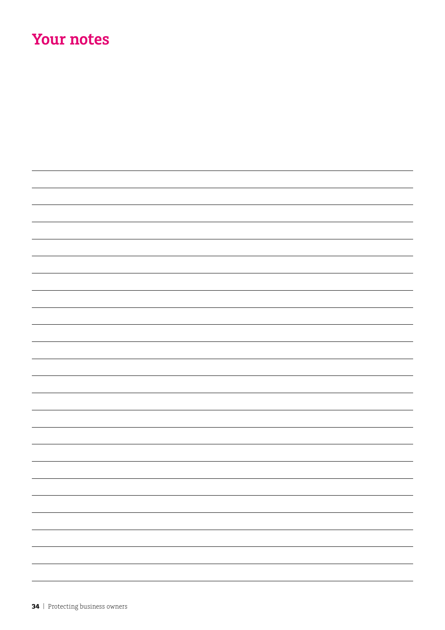## **Your notes**

| — |
|---|
|   |
| - |
| - |
|   |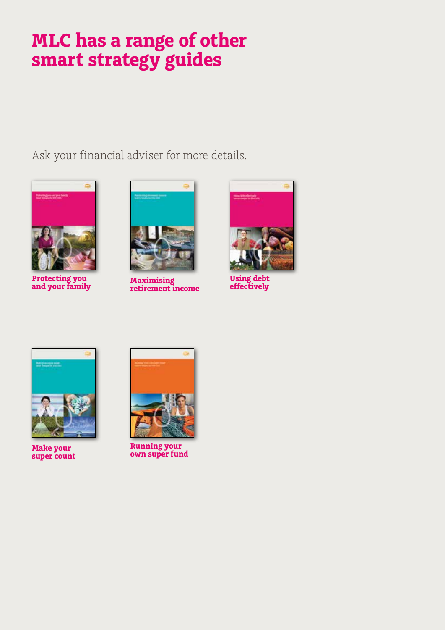# **MLC has a range of other smart strategy guides**

Ask your financial adviser for more details.



**Protecting you and your family**



**Maximising retirement income**



**Using debt effectively**



**Make your super count**



**Running your own super fund**